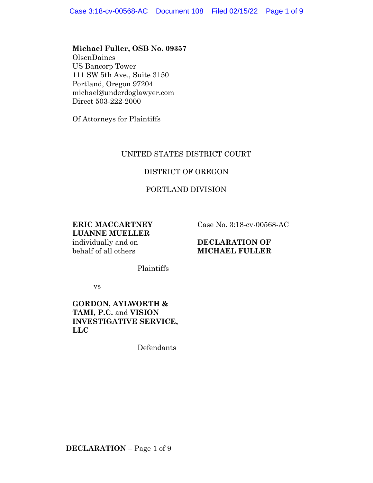#### **Michael Fuller, OSB No. 09357**

OlsenDaines US Bancorp Tower 111 SW 5th Ave., Suite 3150 Portland, Oregon 97204 michael@underdoglawyer.com Direct 503-222-2000

Of Attorneys for Plaintiffs

# UNITED STATES DISTRICT COURT

# DISTRICT OF OREGON

# PORTLAND DIVISION

**ERIC MACCARTNEY LUANNE MUELLER** individually and on behalf of all others

Case No. 3:18-cv-00568-AC

#### **DECLARATION OF MICHAEL FULLER**

Plaintiffs

vs

# **GORDON, AYLWORTH & TAMI, P.C.** and **VISION INVESTIGATIVE SERVICE, LLC**

Defendants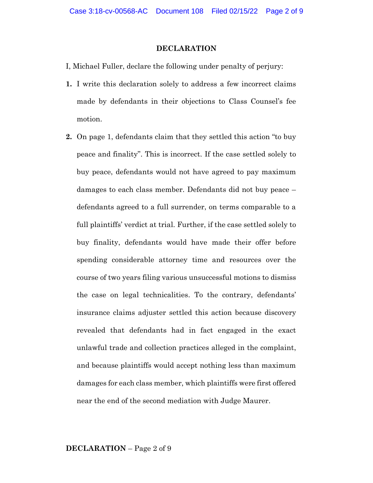#### **DECLARATION**

- I, Michael Fuller, declare the following under penalty of perjury:
- **1.** I write this declaration solely to address a few incorrect claims made by defendants in their objections to Class Counsel's fee motion.
- **2.** On page 1, defendants claim that they settled this action "to buy peace and finality". This is incorrect. If the case settled solely to buy peace, defendants would not have agreed to pay maximum damages to each class member. Defendants did not buy peace – defendants agreed to a full surrender, on terms comparable to a full plaintiffs' verdict at trial. Further, if the case settled solely to buy finality, defendants would have made their offer before spending considerable attorney time and resources over the course of two years filing various unsuccessful motions to dismiss the case on legal technicalities. To the contrary, defendants' insurance claims adjuster settled this action because discovery revealed that defendants had in fact engaged in the exact unlawful trade and collection practices alleged in the complaint, and because plaintiffs would accept nothing less than maximum damages for each class member, which plaintiffs were first offered near the end of the second mediation with Judge Maurer.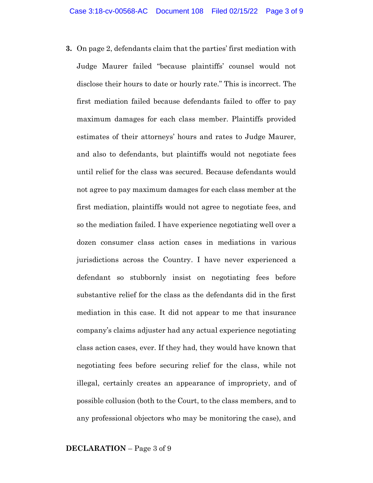**3.** On page 2, defendants claim that the parties' first mediation with Judge Maurer failed "because plaintiffs' counsel would not disclose their hours to date or hourly rate." This is incorrect. The first mediation failed because defendants failed to offer to pay maximum damages for each class member. Plaintiffs provided estimates of their attorneys' hours and rates to Judge Maurer, and also to defendants, but plaintiffs would not negotiate fees until relief for the class was secured. Because defendants would not agree to pay maximum damages for each class member at the first mediation, plaintiffs would not agree to negotiate fees, and so the mediation failed. I have experience negotiating well over a dozen consumer class action cases in mediations in various jurisdictions across the Country. I have never experienced a defendant so stubbornly insist on negotiating fees before substantive relief for the class as the defendants did in the first mediation in this case. It did not appear to me that insurance company's claims adjuster had any actual experience negotiating class action cases, ever. If they had, they would have known that negotiating fees before securing relief for the class, while not illegal, certainly creates an appearance of impropriety, and of possible collusion (both to the Court, to the class members, and to any professional objectors who may be monitoring the case), and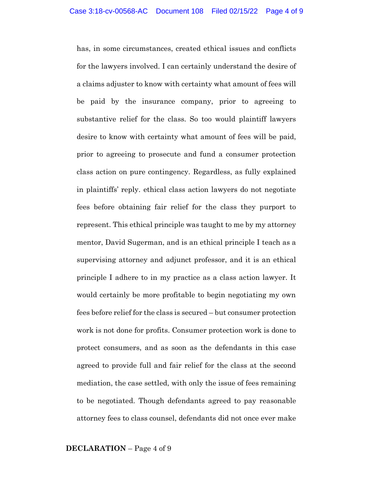has, in some circumstances, created ethical issues and conflicts for the lawyers involved. I can certainly understand the desire of a claims adjuster to know with certainty what amount of fees will be paid by the insurance company, prior to agreeing to substantive relief for the class. So too would plaintiff lawyers desire to know with certainty what amount of fees will be paid, prior to agreeing to prosecute and fund a consumer protection class action on pure contingency. Regardless, as fully explained in plaintiffs' reply. ethical class action lawyers do not negotiate fees before obtaining fair relief for the class they purport to represent. This ethical principle was taught to me by my attorney mentor, David Sugerman, and is an ethical principle I teach as a supervising attorney and adjunct professor, and it is an ethical principle I adhere to in my practice as a class action lawyer. It would certainly be more profitable to begin negotiating my own fees before relief for the class is secured – but consumer protection work is not done for profits. Consumer protection work is done to protect consumers, and as soon as the defendants in this case agreed to provide full and fair relief for the class at the second mediation, the case settled, with only the issue of fees remaining to be negotiated. Though defendants agreed to pay reasonable attorney fees to class counsel, defendants did not once ever make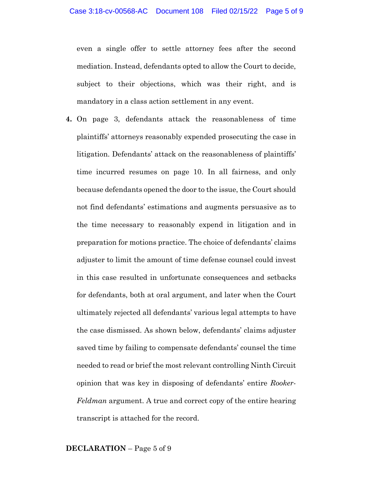even a single offer to settle attorney fees after the second mediation. Instead, defendants opted to allow the Court to decide, subject to their objections, which was their right, and is mandatory in a class action settlement in any event.

**4.** On page 3, defendants attack the reasonableness of time plaintiffs' attorneys reasonably expended prosecuting the case in litigation. Defendants' attack on the reasonableness of plaintiffs' time incurred resumes on page 10. In all fairness, and only because defendants opened the door to the issue, the Court should not find defendants' estimations and augments persuasive as to the time necessary to reasonably expend in litigation and in preparation for motions practice. The choice of defendants' claims adjuster to limit the amount of time defense counsel could invest in this case resulted in unfortunate consequences and setbacks for defendants, both at oral argument, and later when the Court ultimately rejected all defendants' various legal attempts to have the case dismissed. As shown below, defendants' claims adjuster saved time by failing to compensate defendants' counsel the time needed to read or brief the most relevant controlling Ninth Circuit opinion that was key in disposing of defendants' entire *Rooker-Feldman* argument. A true and correct copy of the entire hearing transcript is attached for the record.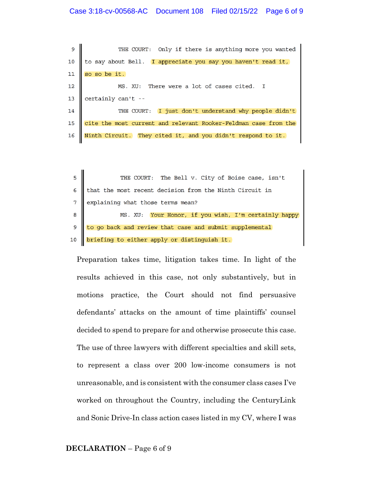#### Case 3:18-cv-00568-AC Document 108 Filed 02/15/22 Page 6 of 9

THE COURT: Only if there is anything more you wanted 9 to say about Bell. I appreciate you say you haven't read it,  $10$  $11\,$ so so be it. 12 MS. XU: There were a lot of cases cited.  $\mathsf{T}$ 13 certainly can't --14 I just don't understand why people didn't THE COURT: 15 cite the most current and relevant Rooker-Feldman case from the Ninth Circuit. They cited it, and you didn't respond to it. 16

THE COURT: The Bell v. City of Boise case, isn't 5 6 that the most recent decision from the Ninth Circuit in  $\overline{7}$ explaining what those terms mean? 8 MS. XU: Your Honor, if you wish, I'm certainly happy 9 to go back and review that case and submit supplemental 10 briefing to either apply or distinguish it.

Preparation takes time, litigation takes time. In light of the results achieved in this case, not only substantively, but in motions practice, the Court should not find persuasive defendants' attacks on the amount of time plaintiffs' counsel decided to spend to prepare for and otherwise prosecute this case. The use of three lawyers with different specialties and skill sets, to represent a class over 200 low-income consumers is not unreasonable, and is consistent with the consumer class cases I've worked on throughout the Country, including the CenturyLink and Sonic Drive-In class action cases listed in my CV, where I was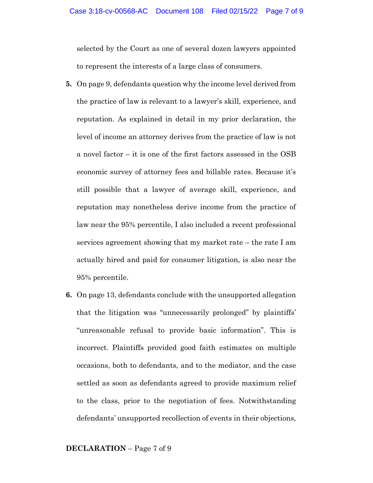selected by the Court as one of several dozen lawyers appointed to represent the interests of a large class of consumers.

- **5.** On page 9, defendants question why the income level derived from the practice of law is relevant to a lawyer's skill, experience, and reputation. As explained in detail in my prior declaration, the level of income an attorney derives from the practice of law is not a novel factor – it is one of the first factors assessed in the OSB economic survey of attorney fees and billable rates. Because it's still possible that a lawyer of average skill, experience, and reputation may nonetheless derive income from the practice of law near the 95% percentile, I also included a recent professional services agreement showing that my market rate – the rate I am actually hired and paid for consumer litigation, is also near the 95% percentile.
- **6.** On page 13, defendants conclude with the unsupported allegation that the litigation was "unnecessarily prolonged" by plaintiffs' "unreasonable refusal to provide basic information". This is incorrect. Plaintiffs provided good faith estimates on multiple occasions, both to defendants, and to the mediator, and the case settled as soon as defendants agreed to provide maximum relief to the class, prior to the negotiation of fees. Notwithstanding defendants' unsupported recollection of events in their objections,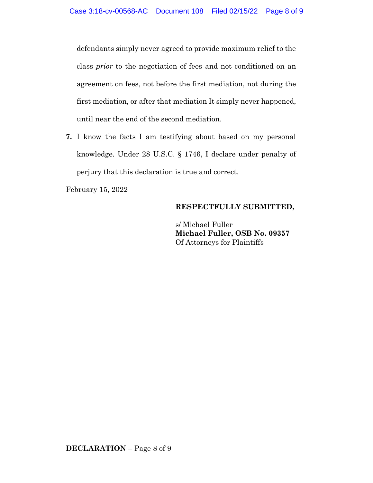defendants simply never agreed to provide maximum relief to the class *prior* to the negotiation of fees and not conditioned on an agreement on fees, not before the first mediation, not during the first mediation, or after that mediation It simply never happened, until near the end of the second mediation.

**7.** I know the facts I am testifying about based on my personal knowledge. Under 28 U.S.C. § 1746, I declare under penalty of perjury that this declaration is true and correct.

February 15, 2022

# **RESPECTFULLY SUBMITTED,**

s/ Michael Fuller **Michael Fuller, OSB No. 09357** Of Attorneys for Plaintiffs